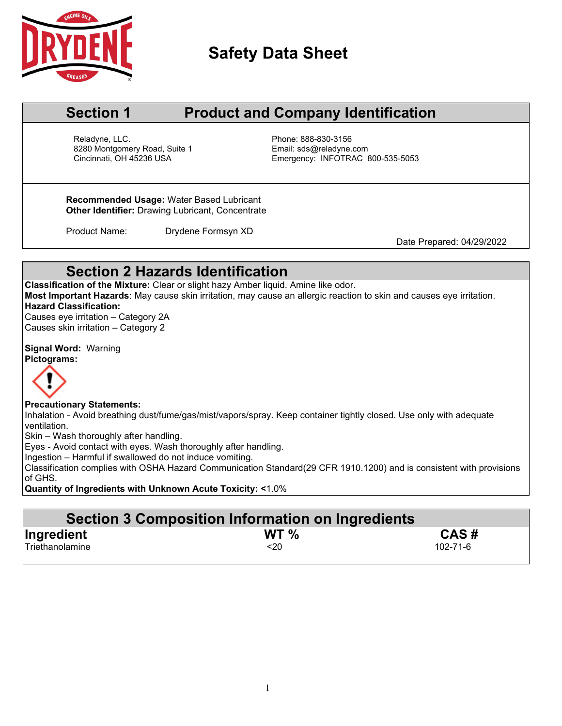

# **Safety Data Sheet**

# **Section 1 Product and Company Identification**

Reladyne, LLC. **Phone: 888-830-3156** 8280 Montgomery Road, Suite 1 Email: sds@reladyne.com<br>Cincinnati, OH 45236 USA Company Emergency: INFOTRAC 8

Emergency: INFOTRAC 800-535-5053

**Recommended Usage:** Water Based Lubricant **Other Identifier:** Drawing Lubricant, Concentrate

Product Name: Drydene Formsyn XD

Date Prepared: 04/29/2022

# **Section 2 Hazards Identification**

**Classification of the Mixture:** Clear or slight hazy Amber liquid. Amine like odor. **Most Important Hazards**: May cause skin irritation, may cause an allergic reaction to skin and causes eye irritation. **Hazard Classification:**

Causes eye irritation – Category 2A Causes skin irritation – Category 2

**Signal Word:** Warning **Pictograms:**



#### **Precautionary Statements:**

Inhalation - Avoid breathing dust/fume/gas/mist/vapors/spray. Keep container tightly closed. Use only with adequate ventilation.

Skin – Wash thoroughly after handling.

Eyes - Avoid contact with eyes. Wash thoroughly after handling.

Ingestion – Harmful if swallowed do not induce vomiting.

Classification complies with OSHA Hazard Communication Standard(29 CFR 1910.1200) and is consistent with provisions of GHS.

**Quantity of Ingredients with Unknown Acute Toxicity: <**1.0%

| Section 3 Composition Information on Ingredients |                 |          |  |  |  |  |
|--------------------------------------------------|-----------------|----------|--|--|--|--|
| Ingredient                                       | WT <sub>%</sub> | CAS#     |  |  |  |  |
| Triethanolamine                                  | $20$            | 102-71-6 |  |  |  |  |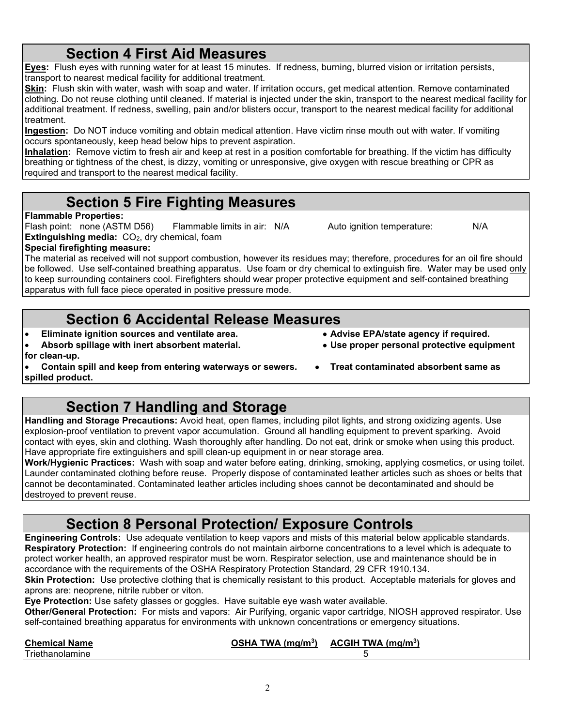# **Section 4 First Aid Measures**

**Eyes:** Flush eyes with running water for at least 15 minutes. If redness, burning, blurred vision or irritation persists, transport to nearest medical facility for additional treatment.

**Skin:** Flush skin with water, wash with soap and water. If irritation occurs, get medical attention. Remove contaminated clothing. Do not reuse clothing until cleaned. If material is injected under the skin, transport to the nearest medical facility for additional treatment. If redness, swelling, pain and/or blisters occur, transport to the nearest medical facility for additional treatment.

**Ingestion:** Do NOT induce vomiting and obtain medical attention. Have victim rinse mouth out with water. If vomiting occurs spontaneously, keep head below hips to prevent aspiration.

**Inhalation:** Remove victim to fresh air and keep at rest in a position comfortable for breathing. If the victim has difficulty breathing or tightness of the chest, is dizzy, vomiting or unresponsive, give oxygen with rescue breathing or CPR as required and transport to the nearest medical facility.

# **Section 5 Fire Fighting Measures**

### **Flammable Properties:**

Flash point: none (ASTM D56) Flammable limits in air: N/A Auto ignition temperature: N/A **Extinguishing media:** CO<sub>2</sub>, dry chemical, foam

**Special firefighting measure:**

The material as received will not support combustion, however its residues may; therefore, procedures for an oil fire should be followed. Use self-contained breathing apparatus. Use foam or dry chemical to extinguish fire. Water may be used only to keep surrounding containers cool. Firefighters should wear proper protective equipment and self-contained breathing apparatus with full face piece operated in positive pressure mode.

# **Section 6 Accidental Release Measures**

- **Eliminate ignition sources and ventilate area. Advise EPA/state agency if required.**
- Absorb spillage with inert absorbent material. **for clean-up.**
	- **Contain spill and keep from entering waterways or sewers. Treat contaminated absorbent same as**

**spilled product.**

# **Section 7 Handling and Storage**

**Handling and Storage Precautions:** Avoid heat, open flames, including pilot lights, and strong oxidizing agents. Use explosion-proof ventilation to prevent vapor accumulation. Ground all handling equipment to prevent sparking. Avoid contact with eyes, skin and clothing. Wash thoroughly after handling. Do not eat, drink or smoke when using this product. Have appropriate fire extinguishers and spill clean-up equipment in or near storage area.

**Work/Hygienic Practices:** Wash with soap and water before eating, drinking, smoking, applying cosmetics, or using toilet. Launder contaminated clothing before reuse. Properly dispose of contaminated leather articles such as shoes or belts that cannot be decontaminated. Contaminated leather articles including shoes cannot be decontaminated and should be destroyed to prevent reuse.

# **Section 8 Personal Protection/ Exposure Controls**

**Engineering Controls:** Use adequate ventilation to keep vapors and mists of this material below applicable standards. **Respiratory Protection:** If engineering controls do not maintain airborne concentrations to a level which is adequate to protect worker health, an approved respirator must be worn. Respirator selection, use and maintenance should be in accordance with the requirements of the OSHA Respiratory Protection Standard, 29 CFR 1910.134.

**Skin Protection:** Use protective clothing that is chemically resistant to this product. Acceptable materials for gloves and aprons are: neoprene, nitrile rubber or viton.

**Eye Protection:** Use safety glasses or goggles. Have suitable eye wash water available.

**Other/General Protection:** For mists and vapors: Air Purifying, organic vapor cartridge, NIOSH approved respirator. Use self-contained breathing apparatus for environments with unknown concentrations or emergency situations.

| <b>Chemical Name</b> | OSHA TWA $(mg/m3)$ | ACGH TWA (mq/m <sup>3</sup> ) |
|----------------------|--------------------|-------------------------------|
| Triethanolamine      |                    |                               |

 $\mathfrak{D}$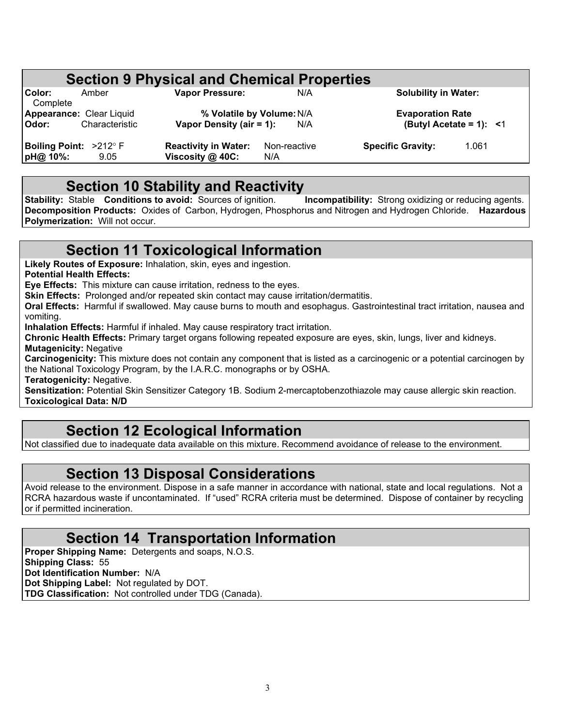| <b>Section 9 Physical and Chemical Properties</b> |                |                             |              |                             |                               |  |  |
|---------------------------------------------------|----------------|-----------------------------|--------------|-----------------------------|-------------------------------|--|--|
| Color:<br>Complete                                | Amber          | <b>Vapor Pressure:</b>      | N/A          | <b>Solubility in Water:</b> |                               |  |  |
| Appearance: Clear Liquid                          |                | % Volatile by Volume: N/A   |              | <b>Evaporation Rate</b>     |                               |  |  |
| Odor:                                             | Characteristic | Vapor Density (air = 1):    | N/A          |                             | (Butyl Acetate = 1): $\leq 1$ |  |  |
| Boiling Point: >212° F                            |                | <b>Reactivity in Water:</b> | Non-reactive | <b>Specific Gravity:</b>    | 1.061                         |  |  |
| pH@ 10%:                                          | 9.05           | Viscosity @ 40C:            | N/A          |                             |                               |  |  |

**Section 10 Stability and Reactivity**<br>Stable Conditions to avoid: Sources of ignition. Incompatibility: Strong oxidizing or reducing agents. **Stability: Stable <b>Conditions to avoid:** Sources of ignition. **Decomposition Products:** Oxides of Carbon, Hydrogen, Phosphorus and Nitrogen and Hydrogen Chloride. **Hazardous Polymerization:** Will not occur.

# **Section 11 Toxicological Information**

**Likely Routes of Exposure:** Inhalation, skin, eyes and ingestion.

**Potential Health Effects:**

**Eye Effects:** This mixture can cause irritation, redness to the eyes.

**Skin Effects:** Prolonged and/or repeated skin contact may cause irritation/dermatitis.

**Oral Effects:** Harmful if swallowed. May cause burns to mouth and esophagus. Gastrointestinal tract irritation, nausea and vomiting.

**Inhalation Effects:** Harmful if inhaled. May cause respiratory tract irritation.

**Chronic Health Effects:** Primary target organs following repeated exposure are eyes, skin, lungs, liver and kidneys. **Mutagenicity:** Negative

**Carcinogenicity:** This mixture does not contain any component that is listed as a carcinogenic or a potential carcinogen by the National Toxicology Program, by the I.A.R.C. monographs or by OSHA.

**Teratogenicity:** Negative.

**Sensitization:** Potential Skin Sensitizer Category 1B. Sodium 2-mercaptobenzothiazole may cause allergic skin reaction. **Toxicological Data: N/D**

# **Section 12 Ecological Information**

Not classified due to inadequate data available on this mixture. Recommend avoidance of release to the environment.

### **Section 13 Disposal Considerations**

Avoid release to the environment. Dispose in a safe manner in accordance with national, state and local regulations. Not a RCRA hazardous waste if uncontaminated. If "used" RCRA criteria must be determined. Dispose of container by recycling or if permitted incineration.

# **Section 14 Transportation Information**

**Proper Shipping Name:** Detergents and soaps, N.O.S. **Shipping Class:** 55 **Dot Identification Number:** N/A **Dot Shipping Label:** Not regulated by DOT. **TDG Classification:** Not controlled under TDG (Canada).